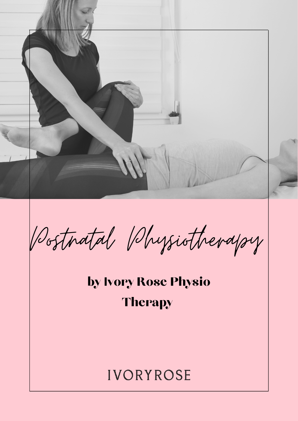

Postnatal Physiotherapy

by Ivory Rose Physio **Therapy** 

# **IVORYROSE**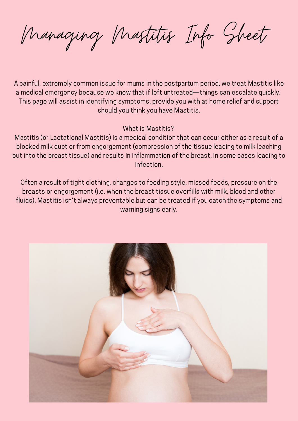Managing Mastitis Info Sheet

A painful, extremely common issue for mums in the postpartum period, we treat Mastitis like a medical emergency because we know that if left untreated—things can escalate quickly. This page will assist in identifying symptoms, provide you with at home relief and support should you think you have Mastitis.

What is Mastitis?

Mastitis (or Lactational Mastitis) is a medical condition that can occur either as a result of a blocked milk duct or from engorgement (compression of the tissue leading to milk leaching out into the breast tissue) and results in inflammation of the breast, in some cases leading to infection.

Often a result of tight clothing, changes to feeding style, missed feeds, pressure on the breasts or engorgement (i.e. when the breast tissue overfills with milk, blood and other fluids), Mastitis isn't always preventable but can be treated if you catch the symptoms and warning signs early.

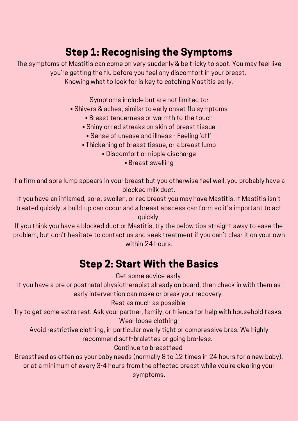# Step 1: Recognising the Symptoms

The symptoms of Mastitis can come on very suddenly & be tricky to spot. You may feel like you're getting the flu before you feel any discomfort in your breast. Knowing what to look for is key to catching Mastitis early.

Symptoms include but are not limited to:

- Shivers & aches, similar to early onset flu symptoms
	- Breast tenderness or warmth to the touch
	- Shiny or red streaks on skin of breast tissue
		- Sense of unease and illness Feeling 'off'
	- Thickening of breast tissue, or a breast lump
		- Discomfort or nipple discharge
			- Breast swelling

If a firm and sore lump appears in your breast but you otherwise feel well, you probably have a blocked milk duct.

If you have an inflamed, sore, swollen, or red breast you may have Mastitis. If Mastitis isn't treated quickly, a build-up can occur and a breast abscess can form so it's important to act quickly.

If you think you have a blocked duct or Mastitis, try the below tips straight away to ease the problem, but don't hesitate to [contact](https://www.ivoryrosephysio.com.au/contact) us and seek treatment if you can't clear it on your own within 24 hours.

# Step 2: Start With the Basics

Get some advice early

If you have a pre or postnatal physiotherapist already on board, then check in with them as early intervention can make or break your recovery.

Rest as much as possible

Try to get some extra rest. Ask your partner, family, or friends for help with household tasks. Wear loose clothing

Avoid restrictive clothing, in particular overly tight or compressive bras. We highly recommend soft-bralettes or going bra-less.

#### Continue to breastfeed

Breastfeed as often as your baby needs (normally 8 to 12 times in 24 hours for a new baby), or at a minimum of every 3-4 hours from the affected breast while you're clearing your symptoms.